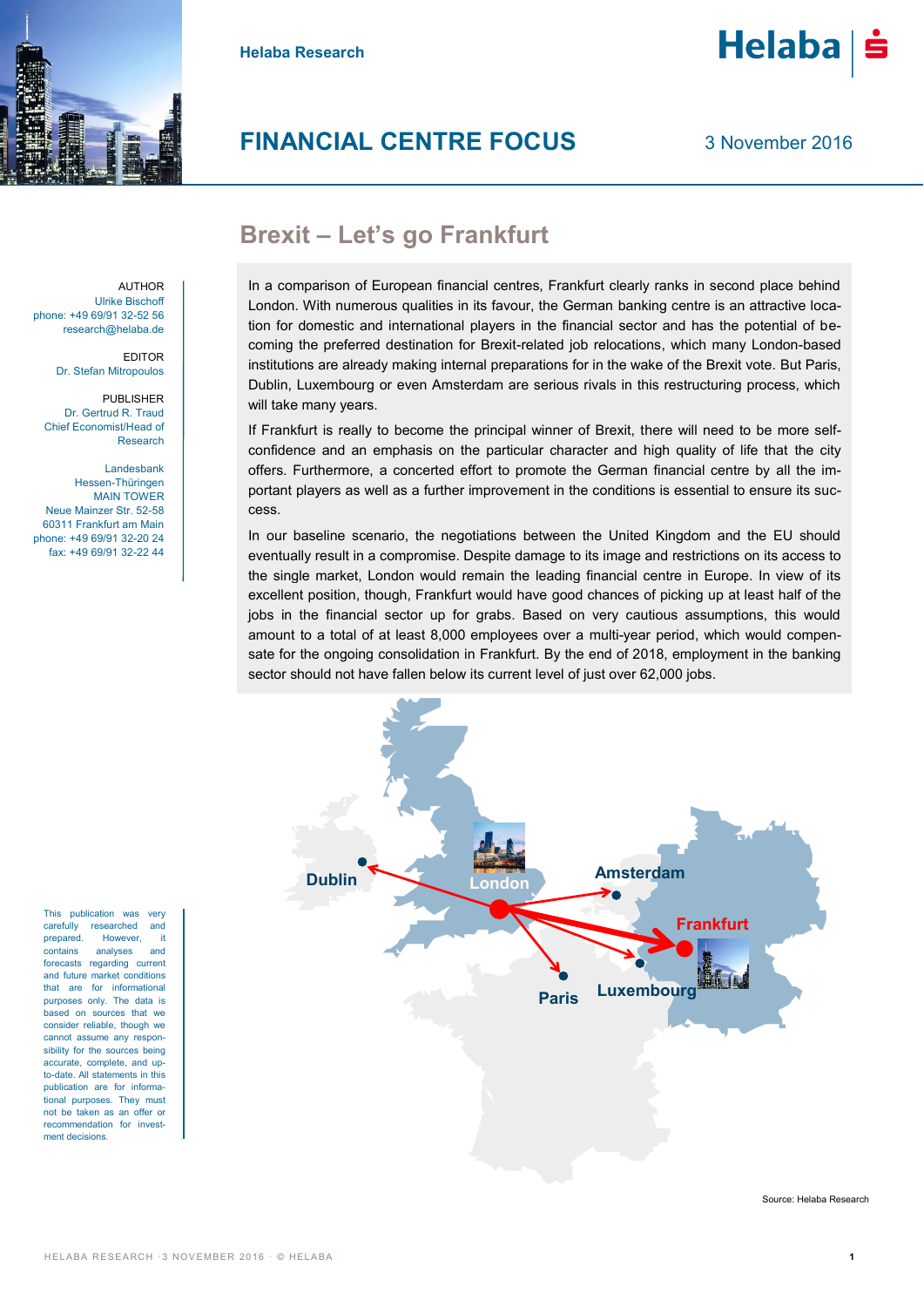

**Helaba Research**



3 November 2016

Helaba

# **Brexit – Let's go Frankfurt**

AUTHOR Ulrike Bischoff phone: +49 69/91 32-52 56 research@helaba.de

> EDITOR Dr. Stefan Mitropoulos

PUBLISHER Dr. Gertrud R. Traud Chief Economist/Head of Research

Landesbank Hessen-Thüringen MAIN TOWER Neue Mainzer Str. 52-58 60311 Frankfurt am Main phone: +49 69/91 32-20 24 fax: +49 69/91 32-22 44

This publication was very carefully researched and prepared. However, it contains analyses and forecasts regarding current and future market conditions that are for informational purposes only. The data is based on sources that we consider reliable, though we cannot assume any responsibility for the sources being accurate, complete, and upto-date. All statements in this publication are for informational purposes. They must not be taken as an offer or recommendation for investment decisions.

In a comparison of European financial centres, Frankfurt clearly ranks in second place behind London. With numerous qualities in its favour, the German banking centre is an attractive location for domestic and international players in the financial sector and has the potential of becoming the preferred destination for Brexit-related job relocations, which many London-based institutions are already making internal preparations for in the wake of the Brexit vote. But Paris, Dublin, Luxembourg or even Amsterdam are serious rivals in this restructuring process, which will take many years.

If Frankfurt is really to become the principal winner of Brexit, there will need to be more selfconfidence and an emphasis on the particular character and high quality of life that the city offers. Furthermore, a concerted effort to promote the German financial centre by all the important players as well as a further improvement in the conditions is essential to ensure its success.

In our baseline scenario, the negotiations between the United Kingdom and the EU should eventually result in a compromise. Despite damage to its image and restrictions on its access to the single market, London would remain the leading financial centre in Europe. In view of its excellent position, though, Frankfurt would have good chances of picking up at least half of the jobs in the financial sector up for grabs. Based on very cautious assumptions, this would amount to a total of at least 8,000 employees over a multi-year period, which would compensate for the ongoing consolidation in Frankfurt. By the end of 2018, employment in the banking sector should not have fallen below its current level of just over 62,000 jobs.

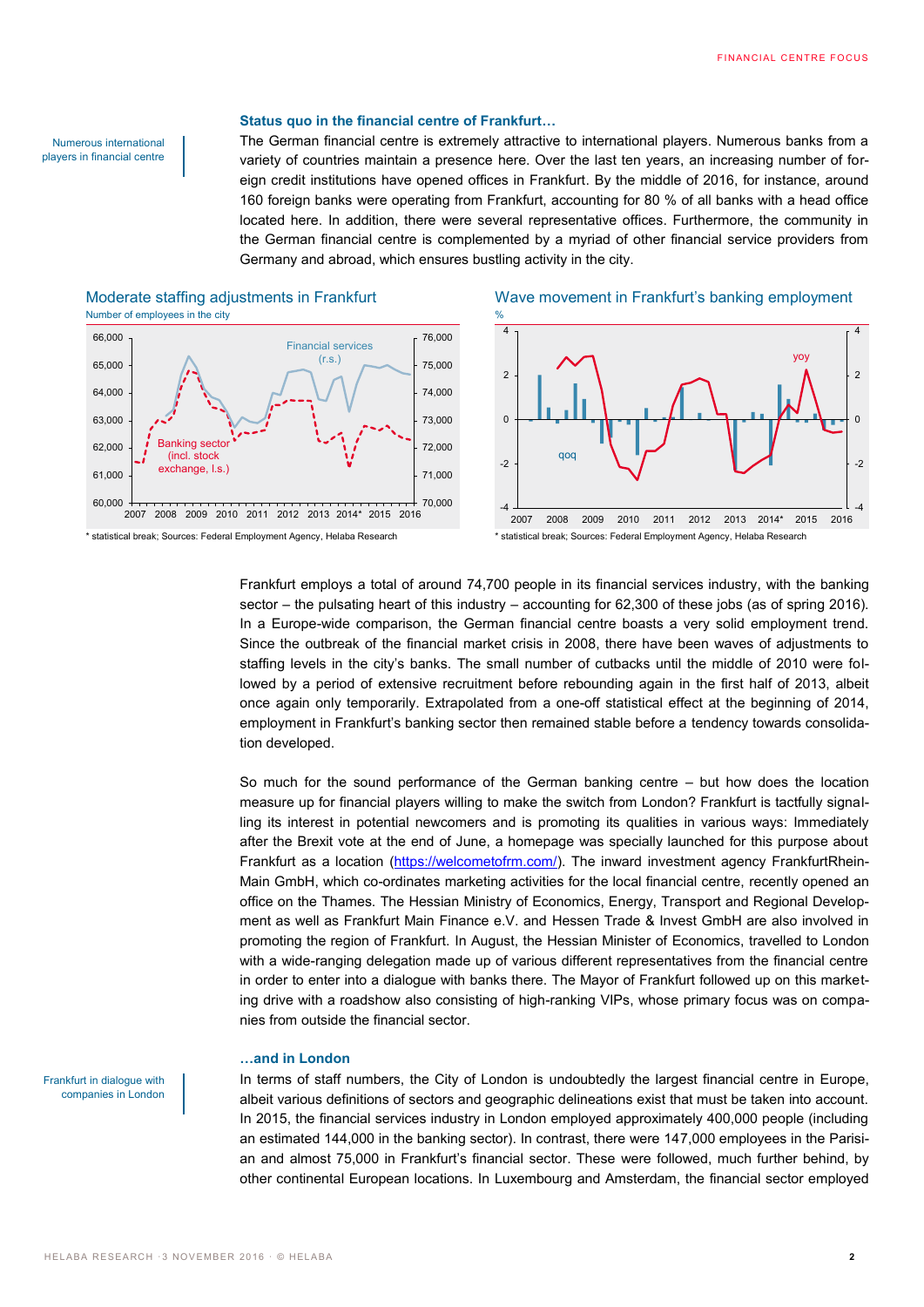#### **Status quo in the financial centre of Frankfurt…**

Numerous international players in financial centre

The German financial centre is extremely attractive to international players. Numerous banks from a variety of countries maintain a presence here. Over the last ten years, an increasing number of foreign credit institutions have opened offices in Frankfurt. By the middle of 2016, for instance, around 160 foreign banks were operating from Frankfurt, accounting for 80 % of all banks with a head office located here. In addition, there were several representative offices. Furthermore, the community in the German financial centre is complemented by a myriad of other financial service providers from Germany and abroad, which ensures bustling activity in the city.

## Moderate staffing adjustments in Frankfurt Wave movement in Frankfurt's banking employment Number of employees in the city





Frankfurt employs a total of around 74,700 people in its financial services industry, with the banking sector – the pulsating heart of this industry – accounting for 62,300 of these jobs (as of spring 2016). In a Europe-wide comparison, the German financial centre boasts a very solid employment trend. Since the outbreak of the financial market crisis in 2008, there have been waves of adjustments to staffing levels in the city's banks. The small number of cutbacks until the middle of 2010 were followed by a period of extensive recruitment before rebounding again in the first half of 2013, albeit once again only temporarily. Extrapolated from a one-off statistical effect at the beginning of 2014, employment in Frankfurt's banking sector then remained stable before a tendency towards consolidation developed.

So much for the sound performance of the German banking centre – but how does the location measure up for financial players willing to make the switch from London? Frankfurt is tactfully signalling its interest in potential newcomers and is promoting its qualities in various ways: Immediately after the Brexit vote at the end of June, a homepage was specially launched for this purpose about Frankfurt as a location [\(https://welcometofrm.com/\)](https://welcometofrm.com/). The inward investment agency FrankfurtRhein-Main GmbH, which co-ordinates marketing activities for the local financial centre, recently opened an office on the Thames. The Hessian Ministry of Economics, Energy, Transport and Regional Development as well as Frankfurt Main Finance e.V. and Hessen Trade & Invest GmbH are also involved in promoting the region of Frankfurt. In August, the Hessian Minister of Economics, travelled to London with a wide-ranging delegation made up of various different representatives from the financial centre in order to enter into a dialogue with banks there. The Mayor of Frankfurt followed up on this marketing drive with a roadshow also consisting of high-ranking VIPs, whose primary focus was on companies from outside the financial sector.

### **…and in London**

Frankfurt in dialogue with companies in London

In terms of staff numbers, the City of London is undoubtedly the largest financial centre in Europe, albeit various definitions of sectors and geographic delineations exist that must be taken into account. In 2015, the financial services industry in London employed approximately 400,000 people (including an estimated 144,000 in the banking sector). In contrast, there were 147,000 employees in the Parisian and almost 75,000 in Frankfurt's financial sector. These were followed, much further behind, by other continental European locations. In Luxembourg and Amsterdam, the financial sector employed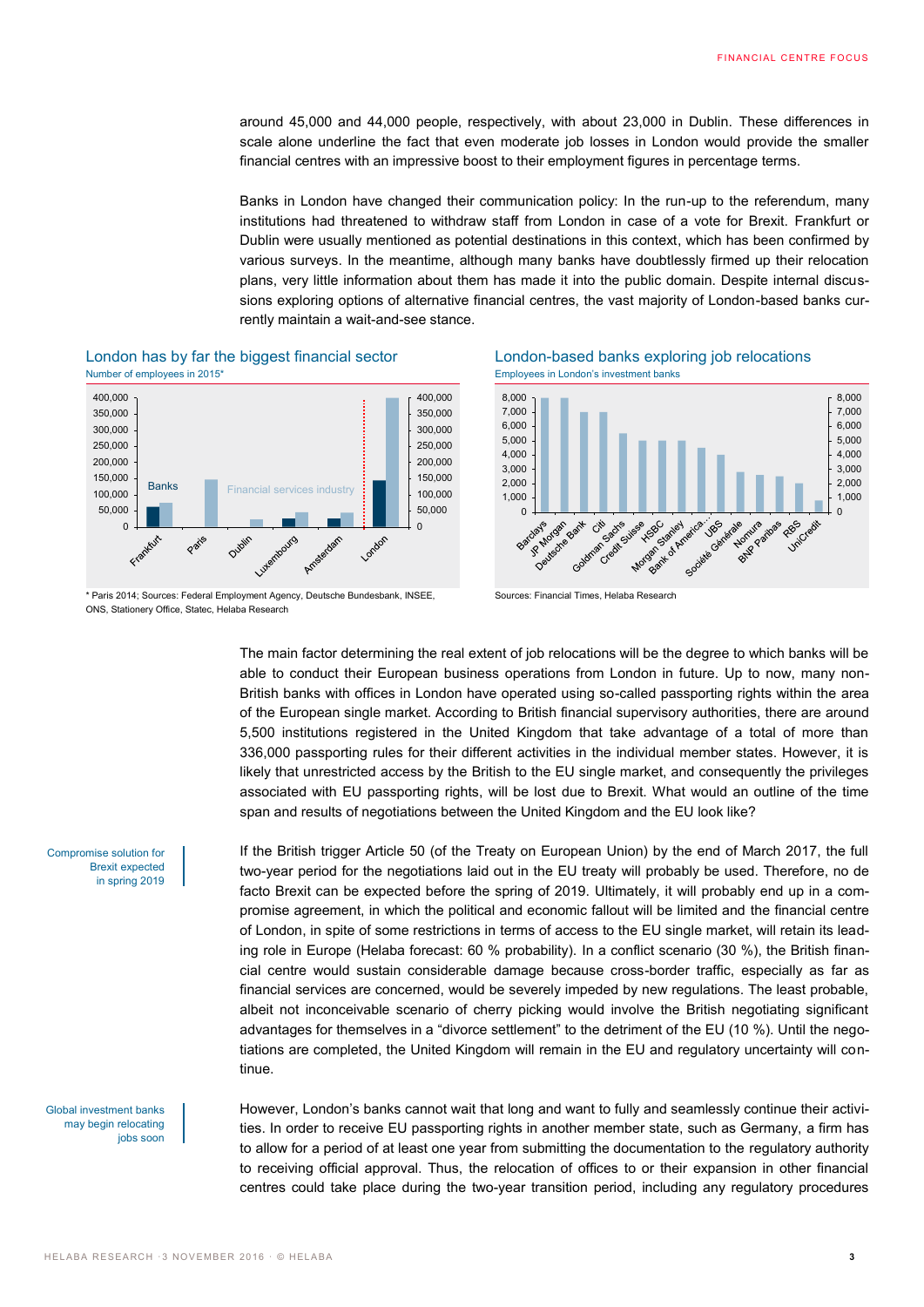around 45,000 and 44,000 people, respectively, with about 23,000 in Dublin. These differences in scale alone underline the fact that even moderate job losses in London would provide the smaller financial centres with an impressive boost to their employment figures in percentage terms.

Banks in London have changed their communication policy: In the run-up to the referendum, many institutions had threatened to withdraw staff from London in case of a vote for Brexit. Frankfurt or Dublin were usually mentioned as potential destinations in this context, which has been confirmed by various surveys. In the meantime, although many banks have doubtlessly firmed up their relocation plans, very little information about them has made it into the public domain. Despite internal discussions exploring options of alternative financial centres, the vast majority of London-based banks currently maintain a wait-and-see stance.





London has by far the biggest financial sector London-based banks exploring job relocations





The main factor determining the real extent of job relocations will be the degree to which banks will be able to conduct their European business operations from London in future. Up to now, many non-British banks with offices in London have operated using so-called passporting rights within the area of the European single market. According to British financial supervisory authorities, there are around 5,500 institutions registered in the United Kingdom that take advantage of a total of more than 336,000 passporting rules for their different activities in the individual member states. However, it is likely that unrestricted access by the British to the EU single market, and consequently the privileges associated with EU passporting rights, will be lost due to Brexit. What would an outline of the time span and results of negotiations between the United Kingdom and the EU look like?

Compromise solution for Brexit expected in spring 2019

Global investment banks may begin relocating jobs soon If the British trigger Article 50 (of the Treaty on European Union) by the end of March 2017, the full two-year period for the negotiations laid out in the EU treaty will probably be used. Therefore, no de facto Brexit can be expected before the spring of 2019. Ultimately, it will probably end up in a compromise agreement, in which the political and economic fallout will be limited and the financial centre of London, in spite of some restrictions in terms of access to the EU single market, will retain its leading role in Europe (Helaba forecast: 60 % probability). In a conflict scenario (30 %), the British financial centre would sustain considerable damage because cross-border traffic, especially as far as financial services are concerned, would be severely impeded by new regulations. The least probable, albeit not inconceivable scenario of cherry picking would involve the British negotiating significant advantages for themselves in a "divorce settlement" to the detriment of the EU (10 %). Until the negotiations are completed, the United Kingdom will remain in the EU and regulatory uncertainty will continue.

However, London's banks cannot wait that long and want to fully and seamlessly continue their activities. In order to receive EU passporting rights in another member state, such as Germany, a firm has to allow for a period of at least one year from submitting the documentation to the regulatory authority to receiving official approval. Thus, the relocation of offices to or their expansion in other financial centres could take place during the two-year transition period, including any regulatory procedures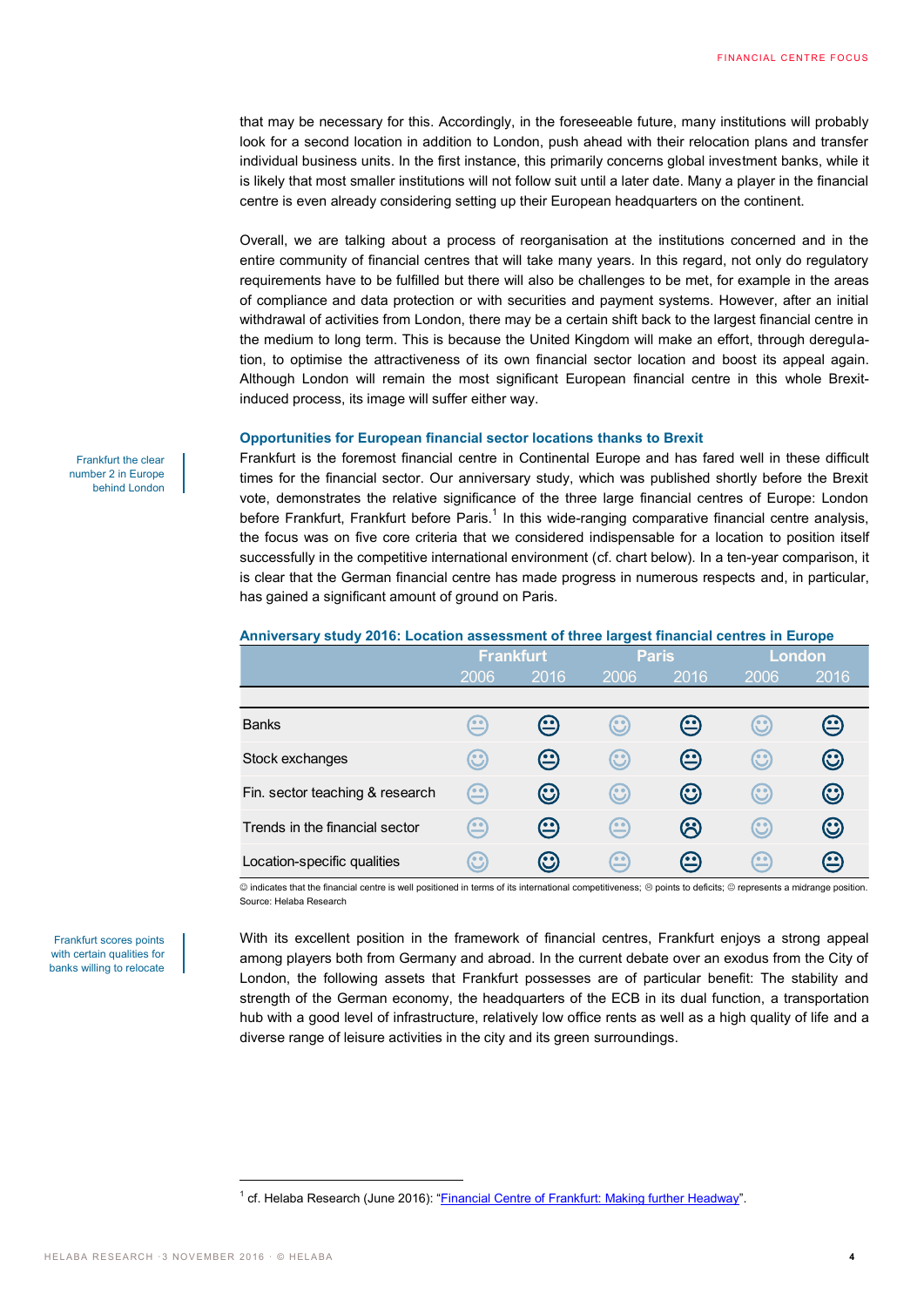that may be necessary for this. Accordingly, in the foreseeable future, many institutions will probably look for a second location in addition to London, push ahead with their relocation plans and transfer individual business units. In the first instance, this primarily concerns global investment banks, while it is likely that most smaller institutions will not follow suit until a later date. Many a player in the financial centre is even already considering setting up their European headquarters on the continent.

Overall, we are talking about a process of reorganisation at the institutions concerned and in the entire community of financial centres that will take many years. In this regard, not only do regulatory requirements have to be fulfilled but there will also be challenges to be met, for example in the areas of compliance and data protection or with securities and payment systems. However, after an initial withdrawal of activities from London, there may be a certain shift back to the largest financial centre in the medium to long term. This is because the United Kingdom will make an effort, through deregulation, to optimise the attractiveness of its own financial sector location and boost its appeal again. Although London will remain the most significant European financial centre in this whole Brexitinduced process, its image will suffer either way.

## **Opportunities for European financial sector locations thanks to Brexit**

Frankfurt is the foremost financial centre in Continental Europe and has fared well in these difficult times for the financial sector. Our anniversary study, which was published shortly before the Brexit vote, demonstrates the relative significance of the three large financial centres of Europe: London before Frankfurt, Frankfurt before Paris.<sup>1</sup> In this wide-ranging comparative financial centre analysis, the focus was on five core criteria that we considered indispensable for a location to position itself successfully in the competitive international environment (cf. chart below). In a ten-year comparison, it is clear that the German financial centre has made progress in numerous respects and, in particular, has gained a significant amount of ground on Paris.

#### **Anniversary study 2016: Location assessment of three largest financial centres in Europe**

|                                 | <b>Frankfurt</b>        |                                                  | <b>Paris</b>            |                    | London             |                    |
|---------------------------------|-------------------------|--------------------------------------------------|-------------------------|--------------------|--------------------|--------------------|
|                                 | 2006                    | 2016                                             | 2006                    | 2016               | 2006               | 2016               |
|                                 |                         |                                                  |                         |                    |                    |                    |
| <b>Banks</b>                    | $\mathbf \Xi$           | $\bm{\bm{\Xi}}$                                  | $\mathbf{\mathfrak{S}}$ | $\boldsymbol{\Xi}$ | $\bm{\mathcal{C}}$ | $\boldsymbol{\Xi}$ |
| Stock exchanges                 | $\mathbf{\mathfrak{S}}$ | $\bm \odot$                                      | $\mathbf{\mathfrak{C}}$ | ⊕                  | $\odot$            | $\bm{\odot}$       |
| Fin. sector teaching & research | అ                       | $\bm{\odot}$                                     | $\odot$                 | $\bm{\odot}$       | $\odot$            | $\bm{\odot}$       |
| Trends in the financial sector  | $\bm{\mathop{\odot}}$   | ⊕                                                | $\widehat{\mathbb{E}}$  | ශ                  | $\odot$            | $\bm{\odot}$       |
| Location-specific qualities     | $\mathbf{C}$            | $\mathbf{\mathbf{\mathbf{\mathbf{\mathbb{C}}}}}$ | $\rm \Omega$            | $\boldsymbol{\Xi}$ | $\bf \odot$        | ഇ                  |

 $@$  indicates that the financial centre is well positioned in terms of its international competitiveness;  $@$  points to deficits;  $@$  represents a midrange position. Source: Helaba Research

With its excellent position in the framework of financial centres, Frankfurt enjoys a strong appeal among players both from Germany and abroad. In the current debate over an exodus from the City of London, the following assets that Frankfurt possesses are of particular benefit: The stability and strength of the German economy, the headquarters of the ECB in its dual function, a transportation hub with a good level of infrastructure, relatively low office rents as well as a high quality of life and a diverse range of leisure activities in the city and its green surroundings.

Frankfurt scores points with certain qualities for banks willing to relocate

 $\overline{a}$ 

Frankfurt the clear number 2 in Europe behind London

<sup>&</sup>lt;sup>1</sup> cf. Helaba Research (June 2016): "*[Financial Centre of Frankfurt: Making further Headway](https://www.helaba.com/com/helaba/markets-and-trends/research/financial-center)*".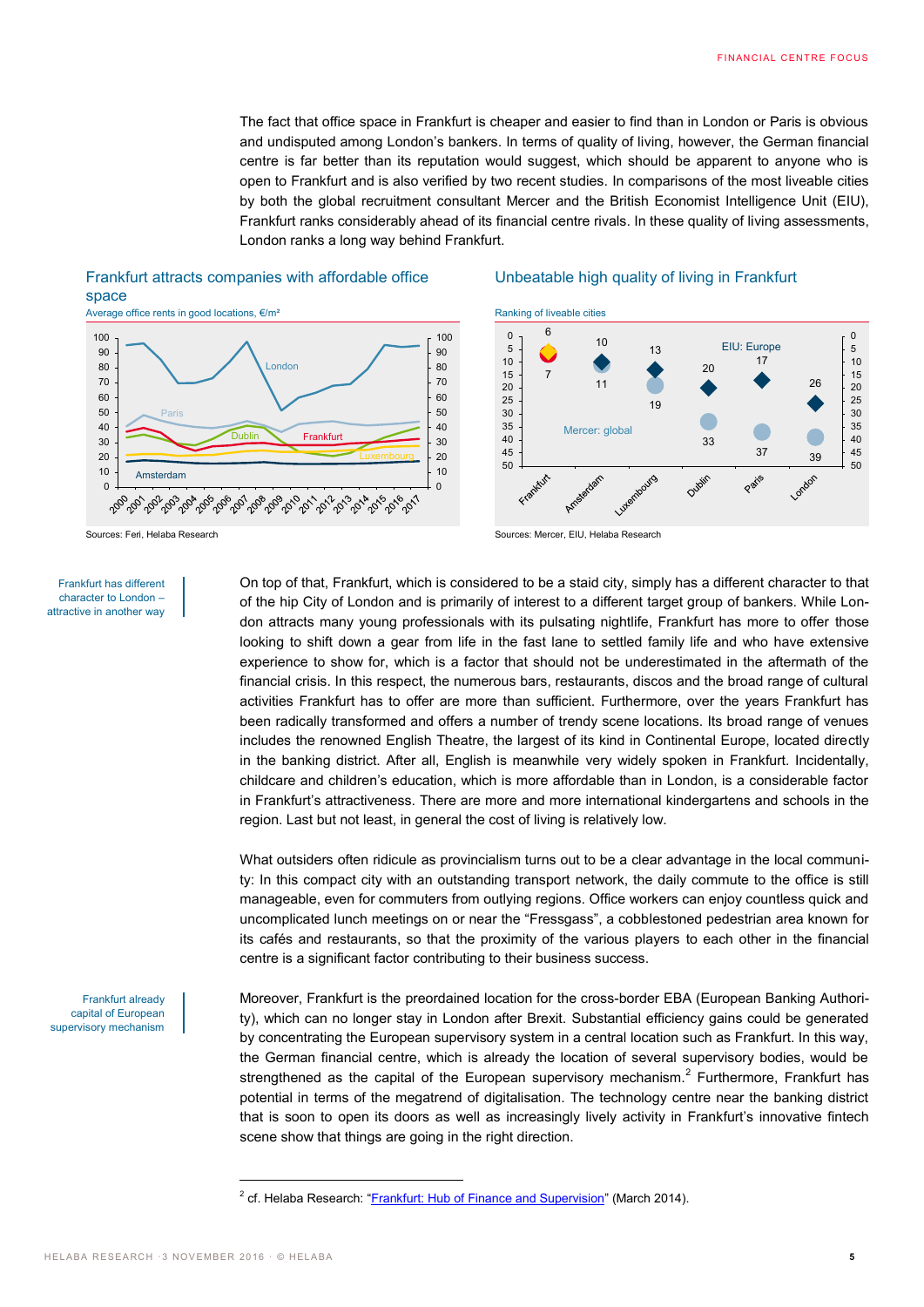The fact that office space in Frankfurt is cheaper and easier to find than in London or Paris is obvious and undisputed among London's bankers. In terms of quality of living, however, the German financial centre is far better than its reputation would suggest, which should be apparent to anyone who is open to Frankfurt and is also verified by two recent studies. In comparisons of the most liveable cities by both the global recruitment consultant Mercer and the British Economist Intelligence Unit (EIU), Frankfurt ranks considerably ahead of its financial centre rivals. In these quality of living assessments, London ranks a long way behind Frankfurt.

## Frankfurt attracts companies with affordable office space Average office rents in good locations, €/m<sup>2</sup> Ranking of liveable cities



#### Frankfurt has different character to London – attractive in another way

Unbeatable high quality of living in Frankfurt





On top of that, Frankfurt, which is considered to be a staid city, simply has a different character to that of the hip City of London and is primarily of interest to a different target group of bankers. While London attracts many young professionals with its pulsating nightlife, Frankfurt has more to offer those looking to shift down a gear from life in the fast lane to settled family life and who have extensive experience to show for, which is a factor that should not be underestimated in the aftermath of the financial crisis. In this respect, the numerous bars, restaurants, discos and the broad range of cultural activities Frankfurt has to offer are more than sufficient. Furthermore, over the years Frankfurt has been radically transformed and offers a number of trendy scene locations. Its broad range of venues includes the renowned English Theatre, the largest of its kind in Continental Europe, located directly in the banking district. After all, English is meanwhile very widely spoken in Frankfurt. Incidentally, childcare and children's education, which is more affordable than in London, is a considerable factor in Frankfurt's attractiveness. There are more and more international kindergartens and schools in the region. Last but not least, in general the cost of living is relatively low.

What outsiders often ridicule as provincialism turns out to be a clear advantage in the local community: In this compact city with an outstanding transport network, the daily commute to the office is still manageable, even for commuters from outlying regions. Office workers can enjoy countless quick and uncomplicated lunch meetings on or near the "Fressgass", a cobblestoned pedestrian area known for its cafés and restaurants, so that the proximity of the various players to each other in the financial centre is a significant factor contributing to their business success.

Frankfurt already capital of European supervisory mechanism Moreover, Frankfurt is the preordained location for the cross-border EBA (European Banking Authority), which can no longer stay in London after Brexit. Substantial efficiency gains could be generated by concentrating the European supervisory system in a central location such as Frankfurt. In this way, the German financial centre, which is already the location of several supervisory bodies, would be strengthened as the capital of the European supervisory mechanism.<sup>2</sup> Furthermore, Frankfurt has potential in terms of the megatrend of digitalisation. The technology centre near the banking district that is soon to open its doors as well as increasingly lively activity in Frankfurt's innovative fintech scene show that things are going in the right direction.

 $\overline{a}$ 

<sup>&</sup>lt;sup>2</sup> cf. Helaba Research: "<u>[Frankfurt: Hub of Finance and Supervision](https://www.helaba.com/com/helaba/markets-and-trends/research/financial-center/previous-publications)</u>" (March 2014).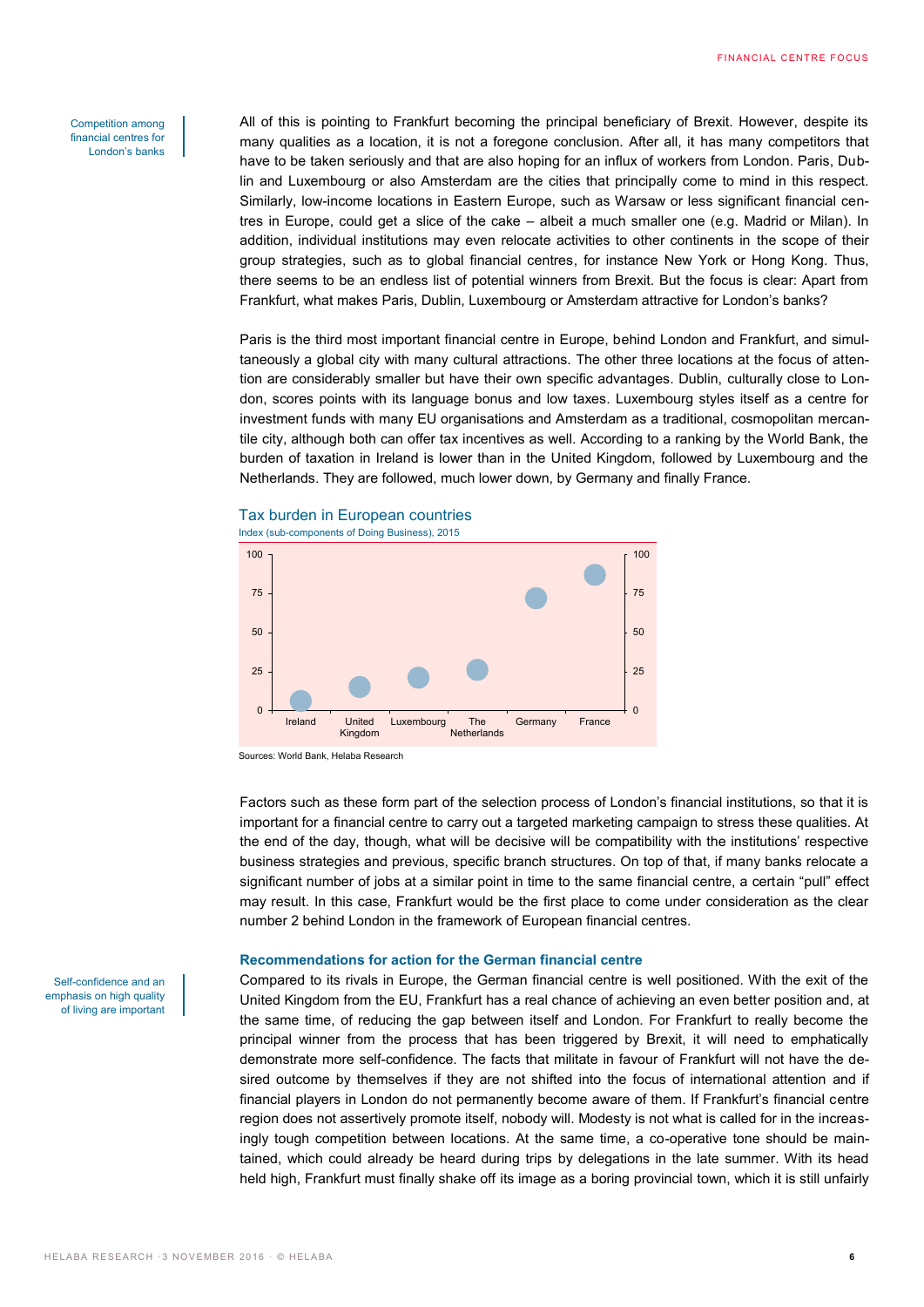#### Competition among financial centres for London's banks

All of this is pointing to Frankfurt becoming the principal beneficiary of Brexit. However, despite its many qualities as a location, it is not a foregone conclusion. After all, it has many competitors that have to be taken seriously and that are also hoping for an influx of workers from London. Paris, Dublin and Luxembourg or also Amsterdam are the cities that principally come to mind in this respect. Similarly, low-income locations in Eastern Europe, such as Warsaw or less significant financial centres in Europe, could get a slice of the cake – albeit a much smaller one (e.g. Madrid or Milan). In addition, individual institutions may even relocate activities to other continents in the scope of their group strategies, such as to global financial centres, for instance New York or Hong Kong. Thus, there seems to be an endless list of potential winners from Brexit. But the focus is clear: Apart from Frankfurt, what makes Paris, Dublin, Luxembourg or Amsterdam attractive for London's banks?

Paris is the third most important financial centre in Europe, behind London and Frankfurt, and simultaneously a global city with many cultural attractions. The other three locations at the focus of attention are considerably smaller but have their own specific advantages. Dublin, culturally close to London, scores points with its language bonus and low taxes. Luxembourg styles itself as a centre for investment funds with many EU organisations and Amsterdam as a traditional, cosmopolitan mercantile city, although both can offer tax incentives as well. According to a ranking by the World Bank, the burden of taxation in Ireland is lower than in the United Kingdom, followed by Luxembourg and the Netherlands. They are followed, much lower down, by Germany and finally France.





Sources: World Bank, Helaba Research

Factors such as these form part of the selection process of London's financial institutions, so that it is important for a financial centre to carry out a targeted marketing campaign to stress these qualities. At the end of the day, though, what will be decisive will be compatibility with the institutions' respective business strategies and previous, specific branch structures. On top of that, if many banks relocate a significant number of jobs at a similar point in time to the same financial centre, a certain "pull" effect may result. In this case, Frankfurt would be the first place to come under consideration as the clear number 2 behind London in the framework of European financial centres.

## **Recommendations for action for the German financial centre**

Compared to its rivals in Europe, the German financial centre is well positioned. With the exit of the United Kingdom from the EU, Frankfurt has a real chance of achieving an even better position and, at the same time, of reducing the gap between itself and London. For Frankfurt to really become the principal winner from the process that has been triggered by Brexit, it will need to emphatically demonstrate more self-confidence. The facts that militate in favour of Frankfurt will not have the desired outcome by themselves if they are not shifted into the focus of international attention and if financial players in London do not permanently become aware of them. If Frankfurt's financial centre region does not assertively promote itself, nobody will. Modesty is not what is called for in the increasingly tough competition between locations. At the same time, a co-operative tone should be maintained, which could already be heard during trips by delegations in the late summer. With its head held high, Frankfurt must finally shake off its image as a boring provincial town, which it is still unfairly

Self-confidence and an emphasis on high quality of living are important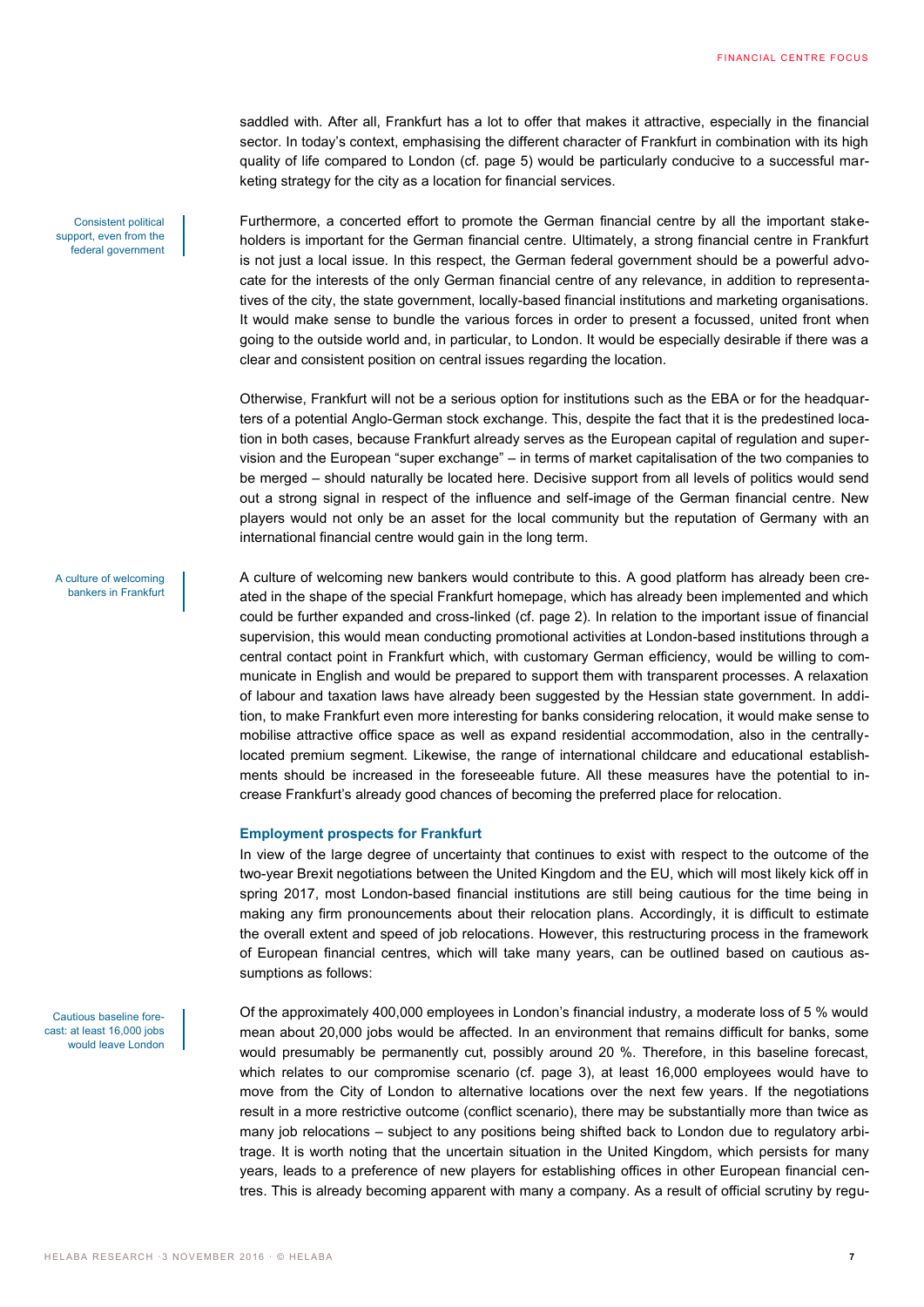saddled with. After all, Frankfurt has a lot to offer that makes it attractive, especially in the financial sector. In today's context, emphasising the different character of Frankfurt in combination with its high quality of life compared to London (cf. page 5) would be particularly conducive to a successful marketing strategy for the city as a location for financial services.

Furthermore, a concerted effort to promote the German financial centre by all the important stakeholders is important for the German financial centre. Ultimately, a strong financial centre in Frankfurt is not just a local issue. In this respect, the German federal government should be a powerful advocate for the interests of the only German financial centre of any relevance, in addition to representatives of the city, the state government, locally-based financial institutions and marketing organisations. It would make sense to bundle the various forces in order to present a focussed, united front when going to the outside world and, in particular, to London. It would be especially desirable if there was a clear and consistent position on central issues regarding the location.

Otherwise, Frankfurt will not be a serious option for institutions such as the EBA or for the headquarters of a potential Anglo-German stock exchange. This, despite the fact that it is the predestined location in both cases, because Frankfurt already serves as the European capital of regulation and supervision and the European "super exchange" – in terms of market capitalisation of the two companies to be merged – should naturally be located here. Decisive support from all levels of politics would send out a strong signal in respect of the influence and self-image of the German financial centre. New players would not only be an asset for the local community but the reputation of Germany with an international financial centre would gain in the long term.

A culture of welcoming bankers in Frankfurt

Consistent political support, even from the federal government

Cautious baseline forecast: at least 16,000 jobs would leave London A culture of welcoming new bankers would contribute to this. A good platform has already been created in the shape of the special Frankfurt homepage, which has already been implemented and which could be further expanded and cross-linked (cf. page 2). In relation to the important issue of financial supervision, this would mean conducting promotional activities at London-based institutions through a central contact point in Frankfurt which, with customary German efficiency, would be willing to communicate in English and would be prepared to support them with transparent processes. A relaxation of labour and taxation laws have already been suggested by the Hessian state government. In addition, to make Frankfurt even more interesting for banks considering relocation, it would make sense to mobilise attractive office space as well as expand residential accommodation, also in the centrallylocated premium segment. Likewise, the range of international childcare and educational establishments should be increased in the foreseeable future. All these measures have the potential to increase Frankfurt's already good chances of becoming the preferred place for relocation.

#### **Employment prospects for Frankfurt**

In view of the large degree of uncertainty that continues to exist with respect to the outcome of the two-year Brexit negotiations between the United Kingdom and the EU, which will most likely kick off in spring 2017, most London-based financial institutions are still being cautious for the time being in making any firm pronouncements about their relocation plans. Accordingly, it is difficult to estimate the overall extent and speed of job relocations. However, this restructuring process in the framework of European financial centres, which will take many years, can be outlined based on cautious assumptions as follows:

Of the approximately 400,000 employees in London's financial industry, a moderate loss of 5 % would mean about 20,000 jobs would be affected. In an environment that remains difficult for banks, some would presumably be permanently cut, possibly around 20 %. Therefore, in this baseline forecast, which relates to our compromise scenario (cf. page 3), at least 16,000 employees would have to move from the City of London to alternative locations over the next few years. If the negotiations result in a more restrictive outcome (conflict scenario), there may be substantially more than twice as many job relocations – subject to any positions being shifted back to London due to regulatory arbitrage. It is worth noting that the uncertain situation in the United Kingdom, which persists for many years, leads to a preference of new players for establishing offices in other European financial centres. This is already becoming apparent with many a company. As a result of official scrutiny by regu